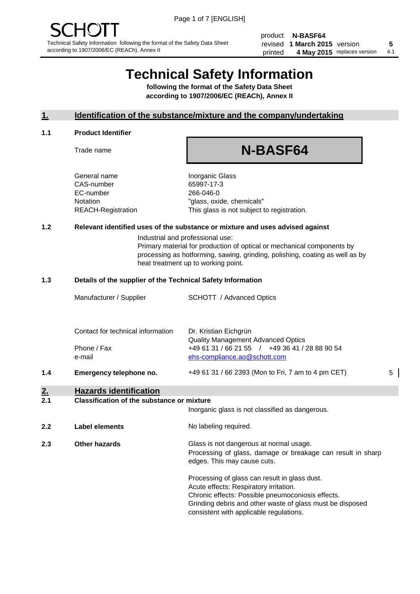product **N-BASF64** revised **5 1 March 2015** version printed 4 May 2015 replaces version 4.1

## **Technical Safety Information**

**following the format of the Safety Data Sheet according to 1907/2006/EC (REACh), Annex II**

#### **1. Identification of the substance/mixture and the company/undertaking**

#### **1.1 Product Identifier**

Trade name

## **N-BASF64**

General name **Inorganic Glass** CAS-number 65997-17-3 EC-number 266-046-0

Notation "glass, oxide, chemicals" REACH-Registration This glass is not subject to registration.

#### **1.2 Relevant identified uses of the substance or mixture and uses advised against**

Industrial and professional use: Primary material for production of optical or mechanical components by processing as hotforming, sawing, grinding, polishing, coating as well as by heat treatment up to working point.

#### **1.3 Details of the supplier of the Technical Safety Information**

| 1.4 | Emergency telephone no.           | +49 61 31 / 66 2393 (Mon to Fri, 7 am to 4 pm CET)                                          | 5 |
|-----|-----------------------------------|---------------------------------------------------------------------------------------------|---|
|     | e-mail                            | ehs-compliance.ao@schott.com                                                                |   |
|     | Phone / Fax                       | <b>Quality Management Advanced Optics</b><br>+49 61 31 / 66 21 55 / +49 36 41 / 28 88 90 54 |   |
|     | Contact for technical information | Dr. Kristian Eichgrün                                                                       |   |
|     | Manufacturer / Supplier           | <b>SCHOTT</b> / Advanced Optics                                                             |   |
|     |                                   |                                                                                             |   |

### **2. Hazards identification**

#### **2.1 Classification of the substance or mixture**

|     |                      | Inorganic glass is not classified as dangerous.                                                                                                                                                                                                      |
|-----|----------------------|------------------------------------------------------------------------------------------------------------------------------------------------------------------------------------------------------------------------------------------------------|
| 2.2 | Label elements       | No labeling required.                                                                                                                                                                                                                                |
| 2.3 | <b>Other hazards</b> | Glass is not dangerous at normal usage.<br>Processing of glass, damage or breakage can result in sharp<br>edges. This may cause cuts.                                                                                                                |
|     |                      | Processing of glass can result in glass dust.<br>Acute effects: Respiratory irritation.<br>Chronic effects: Possible pneumoconiosis effects.<br>Grinding debris and other waste of glass must be disposed<br>consistent with applicable regulations. |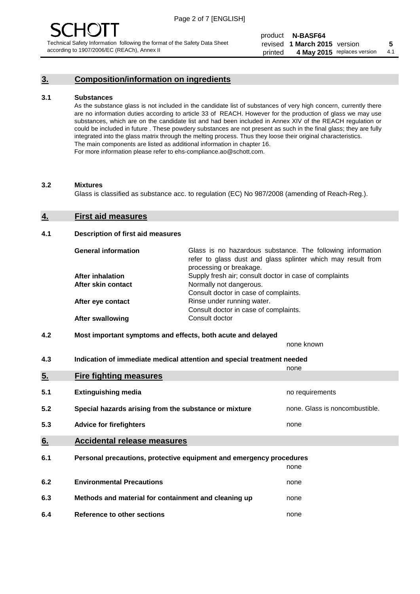### **3. Composition/information on ingredients**

#### **3.1 Substances**

As the substance glass is not included in the candidate list of substances of very high concern, currently there are no information duties according to article 33 of REACH. However for the production of glass we may use substances, which are on the candidate list and had been included in Annex XIV of the REACH regulation or could be included in future . These powdery substances are not present as such in the final glass; they are fully integrated into the glass matrix through the melting process. Thus they loose their original characteristics. The main components are listed as additional information in chapter 16. For more information please refer to ehs-compliance.ao@schott.com.

#### **3.2 Mixtures**

Glass is classified as substance acc. to regulation (EC) No 987/2008 (amending of Reach-Reg.).

#### **4. First aid measures**

#### **4.1 Description of first aid measures**

| <b>General information</b> | Glass is no hazardous substance. The following information<br>refer to glass dust and glass splinter which may result from<br>processing or breakage. |
|----------------------------|-------------------------------------------------------------------------------------------------------------------------------------------------------|
| <b>After inhalation</b>    | Supply fresh air; consult doctor in case of complaints                                                                                                |
| After skin contact         | Normally not dangerous.                                                                                                                               |
|                            | Consult doctor in case of complaints.                                                                                                                 |
| After eye contact          | Rinse under running water.                                                                                                                            |
|                            | Consult doctor in case of complaints.                                                                                                                 |
| <b>After swallowing</b>    | Consult doctor                                                                                                                                        |

#### **4.2 Most important symptoms and effects, both acute and delayed**

none known

**4.3 Indication of immediate medical attention and special treatment needed** 

|     |                                                                     | none                           |
|-----|---------------------------------------------------------------------|--------------------------------|
| 5.  | <b>Fire fighting measures</b>                                       |                                |
| 5.1 | <b>Extinguishing media</b>                                          | no requirements                |
| 5.2 | Special hazards arising from the substance or mixture               | none. Glass is noncombustible. |
| 5.3 | <b>Advice for firefighters</b>                                      | none                           |
| 6.  | <b>Accidental release measures</b>                                  |                                |
| 6.1 | Personal precautions, protective equipment and emergency procedures |                                |
|     |                                                                     | none                           |
| 6.2 | <b>Environmental Precautions</b>                                    | none                           |
| 6.3 | Methods and material for containment and cleaning up                | none                           |
| 6.4 | Reference to other sections                                         | none                           |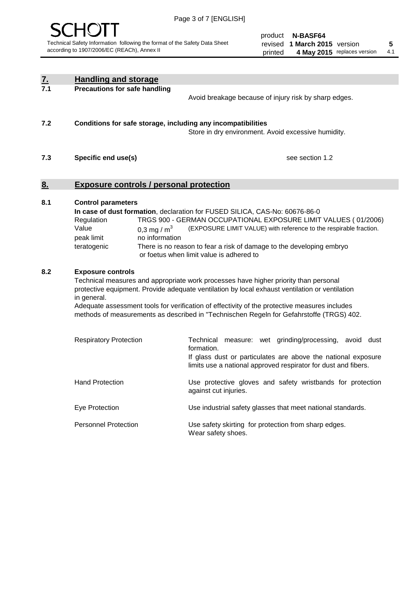

product **N-BASF64** revised **5 1 March 2015** version printed 4 May 2015 replaces version 4.1

| $\underline{\mathbf{7}}$ . | <b>Handling and storage</b>                                                                                      |                                                                                                                                                                                                                                                                                                                                                                                     |
|----------------------------|------------------------------------------------------------------------------------------------------------------|-------------------------------------------------------------------------------------------------------------------------------------------------------------------------------------------------------------------------------------------------------------------------------------------------------------------------------------------------------------------------------------|
| 7.1                        | <b>Precautions for safe handling</b>                                                                             | Avoid breakage because of injury risk by sharp edges.                                                                                                                                                                                                                                                                                                                               |
| 7.2                        | Conditions for safe storage, including any incompatibilities                                                     | Store in dry environment. Avoid excessive humidity.                                                                                                                                                                                                                                                                                                                                 |
| 7.3                        | Specific end use(s)                                                                                              | see section 1.2                                                                                                                                                                                                                                                                                                                                                                     |
| 8.                         | <b>Exposure controls / personal protection</b>                                                                   |                                                                                                                                                                                                                                                                                                                                                                                     |
| 8.1                        | <b>Control parameters</b><br>Regulation<br>Value<br>0,3 mg / $m3$<br>no information<br>peak limit<br>teratogenic | In case of dust formation, declaration for FUSED SILICA, CAS-No: 60676-86-0<br>TRGS 900 - GERMAN OCCUPATIONAL EXPOSURE LIMIT VALUES (01/2006)<br>(EXPOSURE LIMIT VALUE) with reference to the respirable fraction.<br>There is no reason to fear a risk of damage to the developing embryo<br>or foetus when limit value is adhered to                                              |
| 8.2                        | <b>Exposure controls</b><br>in general.                                                                          | Technical measures and appropriate work processes have higher priority than personal<br>protective equipment. Provide adequate ventilation by local exhaust ventilation or ventilation<br>Adequate assessment tools for verification of effectivity of the protective measures includes<br>methods of measurements as described in "Technischen Regeln for Gefahrstoffe (TRGS) 402. |
|                            | <b>Respiratory Protection</b>                                                                                    | Technical measure: wet grinding/processing, avoid dust<br>formation.<br>If glass dust or particulates are above the national exposure<br>limits use a national approved respirator for dust and fibers.                                                                                                                                                                             |
|                            | <b>Hand Protection</b>                                                                                           | Use protective gloves and safety wristbands for protection<br>against cut injuries.                                                                                                                                                                                                                                                                                                 |
|                            | Eye Protection                                                                                                   | Use industrial safety glasses that meet national standards.                                                                                                                                                                                                                                                                                                                         |
|                            | <b>Personnel Protection</b>                                                                                      | Use safety skirting for protection from sharp edges.<br>Wear safety shoes.                                                                                                                                                                                                                                                                                                          |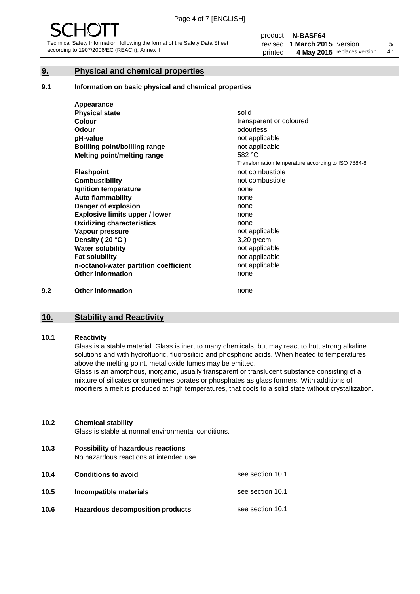#### **9. Physical and chemical properties**

#### **9.1 Information on basic physical and chemical properties**

|     | Appearance                            |                                                    |
|-----|---------------------------------------|----------------------------------------------------|
|     | <b>Physical state</b>                 | solid                                              |
|     | <b>Colour</b>                         | transparent or coloured                            |
|     | <b>Odour</b>                          | odourless                                          |
|     | pH-value                              | not applicable                                     |
|     | Boilling point/boilling range         | not applicable                                     |
|     | Melting point/melting range           | 582 °C                                             |
|     |                                       | Transformation temperature according to ISO 7884-8 |
|     | <b>Flashpoint</b>                     | not combustible                                    |
|     | <b>Combustibility</b>                 | not combustible                                    |
|     | Ignition temperature                  | none                                               |
|     | <b>Auto flammability</b>              | none                                               |
|     | Danger of explosion                   | none                                               |
|     | <b>Explosive limits upper / lower</b> | none                                               |
|     | <b>Oxidizing characteristics</b>      | none                                               |
|     | Vapour pressure                       | not applicable                                     |
|     | Density (20 °C)                       | $3,20$ g/ccm                                       |
|     | <b>Water solubility</b>               | not applicable                                     |
|     | <b>Fat solubility</b>                 | not applicable                                     |
|     | n-octanol-water partition coefficient | not applicable                                     |
|     | <b>Other information</b>              | none                                               |
| 9.2 | <b>Other information</b>              | none                                               |

## **10. Stability and Reactivity**

#### **10.1 Reactivity**

Glass is a stable material. Glass is inert to many chemicals, but may react to hot, strong alkaline solutions and with hydrofluoric, fluorosilicic and phosphoric acids. When heated to temperatures above the melting point, metal oxide fumes may be emitted.

Glass is an amorphous, inorganic, usually transparent or translucent substance consisting of a mixture of silicates or sometimes borates or phosphates as glass formers. With additions of modifiers a melt is produced at high temperatures, that cools to a solid state without crystallization.

#### **10.2 Chemical stability**

Glass is stable at normal environmental conditions.

**10.3 Possibility of hazardous reactions** 

No hazardous reactions at intended use.

| 10.4 | <b>Conditions to avoid</b>              | see section 10.1 |
|------|-----------------------------------------|------------------|
| 10.5 | Incompatible materials                  | see section 10.1 |
| 10.6 | <b>Hazardous decomposition products</b> | see section 10.1 |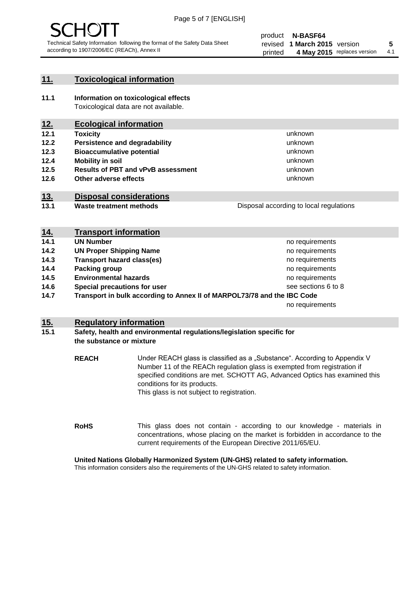

#### **11. Toxicological information**

**11.1 Information on toxicological effects** Toxicological data are not available.

### **12. Ecological information**

- **12.1 Toxicity**
- **12.2 Persistence and degradability**
- **12.3 Bioaccumulative potential**
- **12.4 Mobility in soil**
- **12.5 Results of PBT and vPvB assessment**
- **12.6 Other adverse effects**

#### **13. Disposal considerations**

**13.1 Waste treatment methods**

| Disposal according to local regulations |  |
|-----------------------------------------|--|
|                                         |  |

unknown unknown unknown unknown

unknown unknown

| <u>14.</u> | <b>Transport information</b>                                            |                     |
|------------|-------------------------------------------------------------------------|---------------------|
| 14.1       | <b>UN Number</b>                                                        | no requirements     |
| 14.2       | <b>UN Proper Shipping Name</b>                                          | no requirements     |
| 14.3       | <b>Transport hazard class(es)</b>                                       | no requirements     |
| 14.4       | Packing group                                                           | no requirements     |
| 14.5       | <b>Environmental hazards</b>                                            | no requirements     |
| 14.6       | Special precautions for user                                            | see sections 6 to 8 |
| 14.7       | Transport in bulk according to Annex II of MARPOL73/78 and the IBC Code |                     |
|            |                                                                         | no requirements     |

#### **15. Regulatory information**

#### **15.1 Safety, health and environmental regulations/legislation specific for the substance or mixture**

**REACH** Under REACH glass is classified as a "Substance". According to Appendix V Number 11 of the REACh regulation glass is exempted from registration if specified conditions are met. SCHOTT AG, Advanced Optics has examined this conditions for its products. This glass is not subject to registration.

**RoHS** This glass does not contain - according to our knowledge - materials in concentrations, whose placing on the market is forbidden in accordance to the current requirements of the European Directive 2011/65/EU.

#### **United Nations Globally Harmonized System (UN-GHS) related to safety information.**

This information considers also the requirements of the UN-GHS related to safety information.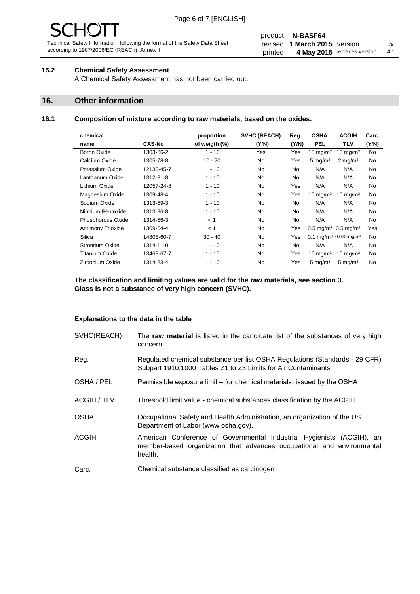# - JF

Technical Safety Information following the format of the Safety Data Sheet according to 1907/2006/EC (REACh), Annex II

#### product **N-BASF64** revised **5 1 March 2015** version printed 4 May 2015 replaces version 4.1

#### **15.2 Chemical Safety Assessment**

A Chemical Safety Assessment has not been carried out.

#### **16. Other information**

#### **16.1 Composition of mixture according to raw materials, based on the oxides.**

| chemical               |               | proportion    | <b>SVHC (REACH)</b> | Reg.      | <b>OSHA</b>                                   | <b>ACGIH</b>        | Carc. |
|------------------------|---------------|---------------|---------------------|-----------|-----------------------------------------------|---------------------|-------|
| name                   | <b>CAS-No</b> | of weigth (%) | (Y/N)               | (Y/N)     | <b>PEL</b>                                    | <b>TLV</b>          | (Y/N) |
| <b>Boron Oxide</b>     | 1303-86-2     | $1 - 10$      | Yes                 | Yes       | $15 \text{ mg/m}^3$                           | $10 \text{ mg/m}^3$ | No.   |
| Calcium Oxide          | 1305-78-8     | $10 - 20$     | <b>No</b>           | Yes       | $5 \text{ mg/m}^3$                            | $2 \text{ mg/m}^3$  | No    |
| Potassium Oxide        | 12136-45-7    | $1 - 10$      | <b>No</b>           | <b>No</b> | N/A                                           | N/A                 | No    |
| Lanthanum Oxide        | 1312-81-8     | $1 - 10$      | <b>No</b>           | <b>No</b> | N/A                                           | N/A                 | No    |
| Lithium Oxide          | 12057-24-8    | $1 - 10$      | <b>No</b>           | Yes       | N/A                                           | N/A                 | No    |
| Magnesium Oxide        | 1309-48-4     | $1 - 10$      | <b>No</b>           | Yes       | 10 mg/m <sup>3</sup>                          | $10 \text{ mg/m}^3$ | No    |
| Sodium Oxide           | 1313-59-3     | $1 - 10$      | <b>No</b>           | <b>No</b> | N/A                                           | N/A                 | No    |
| Niobium Pentoxide      | 1313-96-8     | $1 - 10$      | <b>No</b>           | <b>No</b> | N/A                                           | N/A                 | No    |
| Phosphorous Oxide      | 1314-56-3     | < 1           | <b>No</b>           | No        | N/A                                           | N/A                 | No    |
| Antimony Trioxide      | 1309-64-4     | < 1           | <b>No</b>           | Yes       | $0.5 \,\mathrm{mg/m^3}$ 0.5 mg/m <sup>3</sup> |                     | Yes   |
| Silica                 | 14808-60-7    | $30 - 40$     | <b>No</b>           | Yes       | 0.1 mg/m <sup>3</sup> 0.025 mg/m <sup>3</sup> |                     | No    |
| <b>Strontium Oxide</b> | 1314-11-0     | $1 - 10$      | <b>No</b>           | <b>No</b> | N/A                                           | N/A                 | No    |
| <b>Titanium Oxide</b>  | 13463-67-7    | $1 - 10$      | <b>No</b>           | Yes       | $15 \text{ mg/m}^3$                           | 10 mg/m $3$         | No    |
| Zirconium Oxide        | 1314-23-4     | $1 - 10$      | <b>No</b>           | Yes       | $5 \text{ mg/m}^3$                            | $5 \text{ mg/m}^3$  | No    |
|                        |               |               |                     |           |                                               |                     |       |

**The classification and limiting values are valid for the raw materials, see section 3. Glass is not a substance of very high concern (SVHC).**

#### **Explanations to the data in the table**

| SVHC(REACH)        | The raw material is listed in the candidate list of the substances of very high<br>concern                                                                 |
|--------------------|------------------------------------------------------------------------------------------------------------------------------------------------------------|
| Reg.               | Regulated chemical substance per list OSHA Regulations (Standards - 29 CFR)<br>Subpart 1910.1000 Tables Z1 to Z3 Limits for Air Contaminants               |
| OSHA / PEL         | Permissible exposure limit – for chemical materials, issued by the OSHA                                                                                    |
| <b>ACGIH / TLV</b> | Threshold limit value - chemical substances classification by the ACGIH                                                                                    |
| <b>OSHA</b>        | Occupational Safety and Health Administration, an organization of the US.<br>Department of Labor (www.osha.gov).                                           |
| <b>ACGIH</b>       | American Conference of Governmental Industrial Hygienists (ACGIH), an<br>member-based organization that advances occupational and environmental<br>health. |
| Carc.              | Chemical substance classified as carcinogen                                                                                                                |